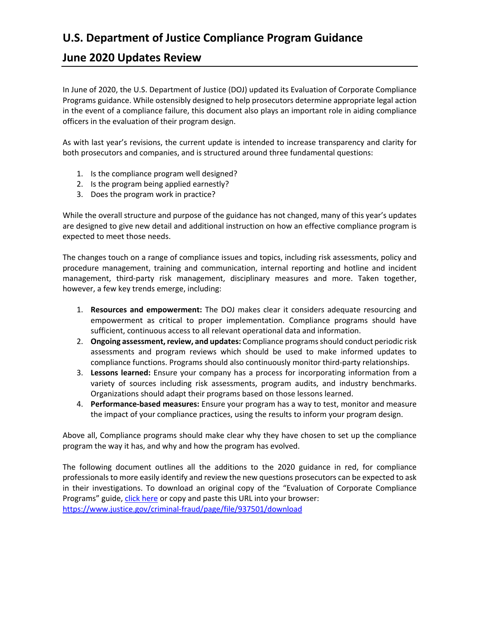# **U.S. Department of Justice Compliance Program Guidance**

# **June 2020 Updates Review**

In June of 2020, the U.S. Department of Justice (DOJ) updated its Evaluation of Corporate Compliance Programs guidance. While ostensibly designed to help prosecutors determine appropriate legal action in the event of a compliance failure, this document also plays an important role in aiding compliance officers in the evaluation of their program design.

As with last year's revisions, the current update is intended to increase transparency and clarity for both prosecutors and companies, and is structured around three fundamental questions:

- 1. Is the compliance program well designed?
- 2. Is the program being applied earnestly?
- 3. Does the program work in practice?

While the overall structure and purpose of the guidance has not changed, many of this year's updates are designed to give new detail and additional instruction on how an effective compliance program is expected to meet those needs.

The changes touch on a range of compliance issues and topics, including risk assessments, policy and procedure management, training and communication, internal reporting and hotline and incident management, third-party risk management, disciplinary measures and more. Taken together, however, a few key trends emerge, including:

- 1. **Resources and empowerment:** The DOJ makes clear it considers adequate resourcing and empowerment as critical to proper implementation. Compliance programs should have sufficient, continuous access to all relevant operational data and information.
- 2. **Ongoing assessment, review, and updates:** Compliance programsshould conduct periodic risk assessments and program reviews which should be used to make informed updates to compliance functions. Programs should also continuously monitor third-party relationships.
- 3. **Lessons learned:** Ensure your company has a process for incorporating information from a variety of sources including risk assessments, program audits, and industry benchmarks. Organizations should adapt their programs based on those lessons learned.
- 4. **Performance-based measures:** Ensure your program has a way to test, monitor and measure the impact of your compliance practices, using the results to inform your program design.

Above all, Compliance programs should make clear why they have chosen to set up the compliance program the way it has, and why and how the program has evolved.

The following document outlines all the additions to the 2020 guidance in red, for compliance professionals to more easily identify and review the new questions prosecutors can be expected to ask in their investigations. To download an original copy of the "Evaluation of Corporate Compliance Programs" guide, click here or copy and paste this URL into your browser: https://www.justice.gov/criminal-fraud/page/file/937501/download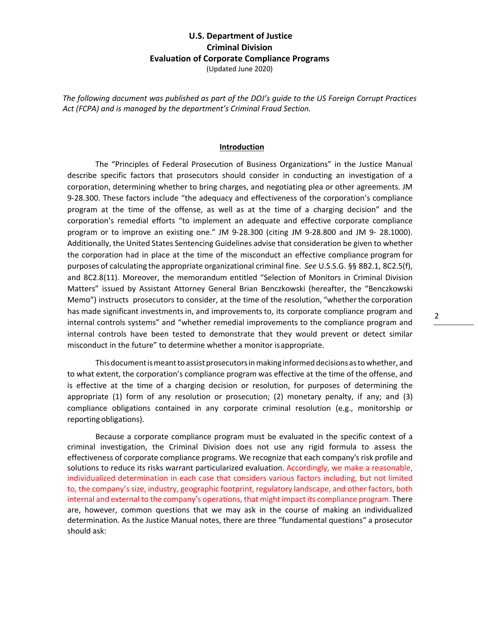*The following document was published as part of the DOJ's guide to the US Foreign Corrupt Practices Act (FCPA) and is managed by the department's Criminal Fraud Section.*

#### **Introduction**

The "Principles of Federal Prosecution of Business Organizations" in the Justice Manual describe specific factors that prosecutors should consider in conducting an investigation of a corporation, determining whether to bring charges, and negotiating plea or other agreements. JM 9-28.300. These factors include "the adequacy and effectiveness of the corporation's compliance program at the time of the offense, as well as at the time of a charging decision" and the corporation's remedial efforts "to implement an adequate and effective corporate compliance program or to improve an existing one." JM 9-28.300 (citing JM 9-28.800 and JM 9- 28.1000). Additionally, the United States Sentencing Guidelines advise that consideration be given to whether the corporation had in place at the time of the misconduct an effective compliance program for purposes of calculating the appropriate organizational criminal fine. *See* U.S.S.G. §§ 8B2.1, 8C2.5(f), and 8C2.8(11). Moreover, the memorandum entitled "Selection of Monitors in Criminal Division Matters" issued by Assistant Attorney General Brian Benczkowski (hereafter, the "Benczkowski Memo") instructs prosecutors to consider, at the time of the resolution, "whether the corporation has made significant investments in, and improvements to, its corporate compliance program and internal controls systems" and "whether remedial improvements to the compliance program and internal controls have been tested to demonstrate that they would prevent or detect similar misconduct in the future" to determine whether a monitor isappropriate.

This document is meant to assist prosecutors in making informed decisions as to whether, and to what extent, the corporation's compliance program was effective at the time of the offense, and is effective at the time of a charging decision or resolution, for purposes of determining the appropriate (1) form of any resolution or prosecution; (2) monetary penalty, if any; and (3) compliance obligations contained in any corporate criminal resolution (e.g., monitorship or reporting obligations).

Because a corporate compliance program must be evaluated in the specific context of a criminal investigation, the Criminal Division does not use any rigid formula to assess the effectiveness of corporate compliance programs. We recognize that each company's risk profile and solutions to reduce its risks warrant particularized evaluation. Accordingly, we make a reasonable, individualized determination in each case that considers various factors including, but not limited to, the company's size, industry, geographic footprint, regulatory landscape, and other factors, both internal and external to the company's operations, that might impact its compliance program. There are, however, common questions that we may ask in the course of making an individualized determination. As the Justice Manual notes, there are three "fundamental questions" a prosecutor should ask: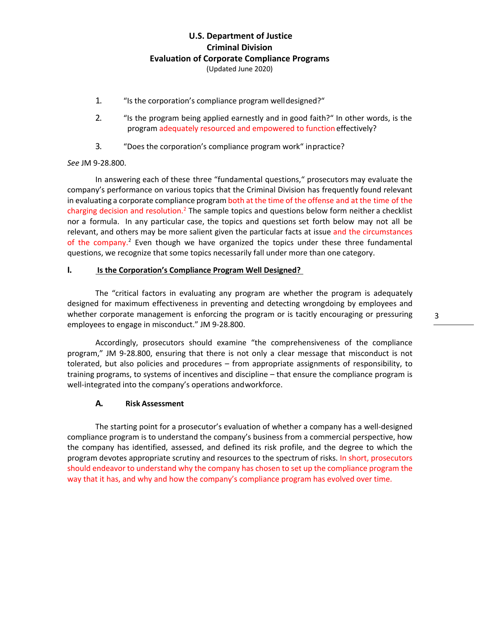- 1. "Is the corporation's compliance program welldesigned?"
- 2. "Is the program being applied earnestly and in good faith?" In other words, is the program adequately resourced and empowered to function effectively?
- 3. "Does the corporation's compliance program work" inpractice?

#### *See* JM 9-28.800.

In answering each of these three "fundamental questions," prosecutors may evaluate the company's performance on various topics that the Criminal Division has frequently found relevant in evaluating a corporate compliance program both at the time of the offense and at the time of the charging decision and resolution.<sup>2</sup> The sample topics and questions below form neither a checklist nor a formula. In any particular case, the topics and questions set forth below may not all be relevant, and others may be more salient given the particular facts at issue and the circumstances of the company.<sup>2</sup> Even though we have organized the topics under these three fundamental questions, we recognize that some topics necessarily fall under more than one category.

#### **I. Is the Corporation's Compliance Program Well Designed?**

The "critical factors in evaluating any program are whether the program is adequately designed for maximum effectiveness in preventing and detecting wrongdoing by employees and whether corporate management is enforcing the program or is tacitly encouraging or pressuring employees to engage in misconduct." JM 9-28.800.

Accordingly, prosecutors should examine "the comprehensiveness of the compliance program," JM 9-28.800, ensuring that there is not only a clear message that misconduct is not tolerated, but also policies and procedures – from appropriate assignments of responsibility, to training programs, to systems of incentives and discipline – that ensure the compliance program is well-integrated into the company's operations andworkforce.

#### **A. Risk Assessment**

The starting point for a prosecutor's evaluation of whether a company has a well-designed compliance program is to understand the company's business from a commercial perspective, how the company has identified, assessed, and defined its risk profile, and the degree to which the program devotes appropriate scrutiny and resources to the spectrum of risks. In short, prosecutors should endeavor to understand why the company has chosen to set up the compliance program the way that it has, and why and how the company's compliance program has evolved over time.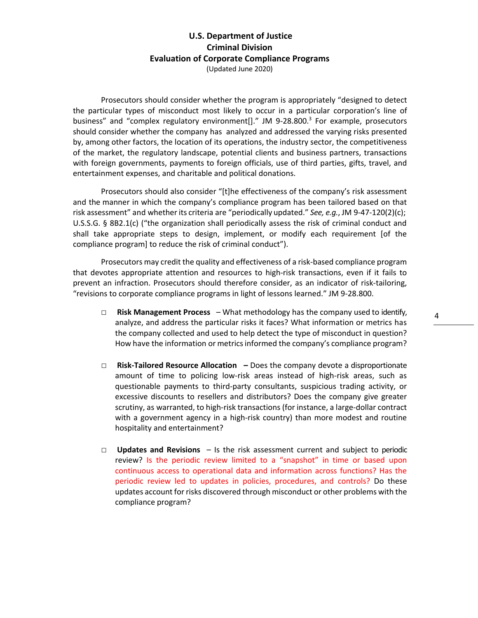Prosecutors should consider whether the program is appropriately "designed to detect the particular types of misconduct most likely to occur in a particular corporation's line of business" and "complex regulatory environment[]." JM 9-28.800.<sup>3</sup> For example, prosecutors should consider whether the company has analyzed and addressed the varying risks presented by, among other factors, the location of its operations, the industry sector, the competitiveness of the market, the regulatory landscape, potential clients and business partners, transactions with foreign governments, payments to foreign officials, use of third parties, gifts, travel, and entertainment expenses, and charitable and political donations.

Prosecutors should also consider "[t]he effectiveness of the company's risk assessment and the manner in which the company's compliance program has been tailored based on that risk assessment" and whether its criteria are "periodically updated." *See, e.g.*, JM 9-47-120(2)(c); U.S.S.G. § 8B2.1(c) ("the organization shall periodically assess the risk of criminal conduct and shall take appropriate steps to design, implement, or modify each requirement [of the compliance program] to reduce the risk of criminal conduct").

Prosecutors may credit the quality and effectiveness of a risk-based compliance program that devotes appropriate attention and resources to high-risk transactions, even if it fails to prevent an infraction. Prosecutors should therefore consider, as an indicator of risk-tailoring, "revisions to corporate compliance programs in light of lessons learned." JM 9-28.800.

- □ **Risk Management Process**  What methodology has the company used to identify, analyze, and address the particular risks it faces? What information or metrics has the company collected and used to help detect the type of misconduct in question? How have the information or metrics informed the company's compliance program?
- □ **Risk-Tailored Resource Allocation –** Does the company devote a disproportionate amount of time to policing low-risk areas instead of high-risk areas, such as questionable payments to third-party consultants, suspicious trading activity, or excessive discounts to resellers and distributors? Does the company give greater scrutiny, as warranted, to high-risk transactions (for instance, a large-dollar contract with a government agency in a high-risk country) than more modest and routine hospitality and entertainment?
- □ **Updates and Revisions**  Is the risk assessment current and subject to periodic review? Is the periodic review limited to a "snapshot" in time or based upon continuous access to operational data and information across functions? Has the periodic review led to updates in policies, procedures, and controls? Do these updates account for risks discovered through misconduct or other problems with the compliance program?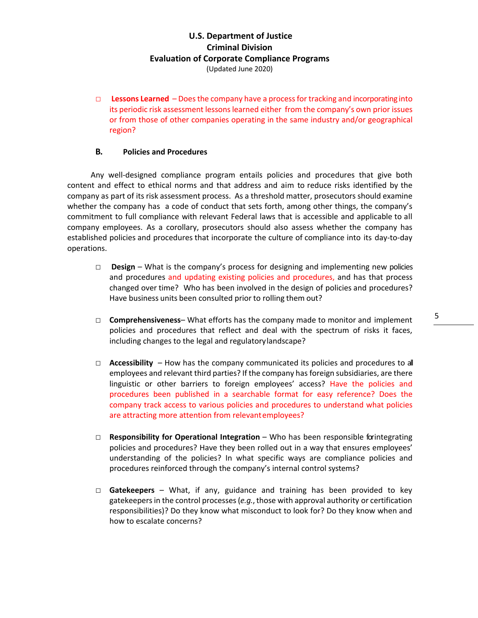□ **Lessons Learned** – Does the company have a process for tracking and incorporating into its periodic risk assessment lessons learned either from the company's own prior issues or from those of other companies operating in the same industry and/or geographical region?

#### **B. Policies and Procedures**

Any well-designed compliance program entails policies and procedures that give both content and effect to ethical norms and that address and aim to reduce risks identified by the company as part of its risk assessment process. As a threshold matter, prosecutors should examine whether the company has a code of conduct that sets forth, among other things, the company's commitment to full compliance with relevant Federal laws that is accessible and applicable to all company employees. As a corollary, prosecutors should also assess whether the company has established policies and procedures that incorporate the culture of compliance into its day-to-day operations.

- □ **Design** What is the company's process for designing and implementing new policies and procedures and updating existing policies and procedures, and has that process changed over time? Who has been involved in the design of policies and procedures? Have business units been consulted prior to rolling them out?
- □ **Comprehensiveness** What efforts has the company made to monitor and implement policies and procedures that reflect and deal with the spectrum of risks it faces, including changes to the legal and regulatorylandscape?
- □ **Accessibility**  How has the company communicated its policies and procedures to all employees and relevant third parties? If the company has foreign subsidiaries, are there linguistic or other barriers to foreign employees' access? Have the policies and procedures been published in a searchable format for easy reference? Does the company track access to various policies and procedures to understand what policies are attracting more attention from relevantemployees?
- □ **Responsibility for Operational Integration** Who has been responsible forintegrating policies and procedures? Have they been rolled out in a way that ensures employees' understanding of the policies? In what specific ways are compliance policies and procedures reinforced through the company's internal control systems?
- □ **Gatekeepers**  What, if any, guidance and training has been provided to key gatekeepers in the control processes (*e.g.*, those with approval authority or certification responsibilities)? Do they know what misconduct to look for? Do they know when and how to escalate concerns?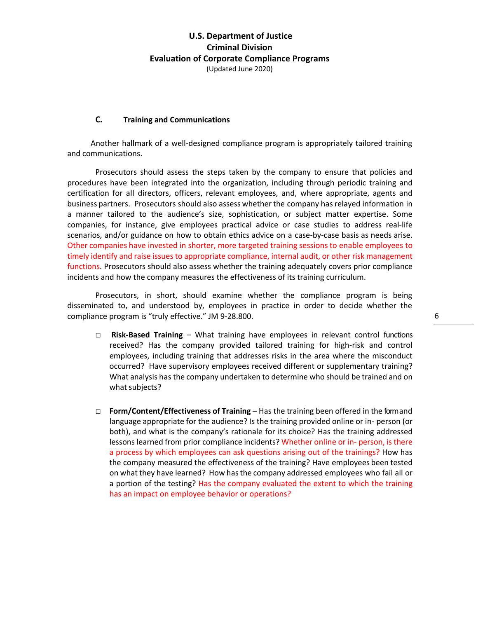#### **C. Training and Communications**

Another hallmark of a well-designed compliance program is appropriately tailored training and communications.

Prosecutors should assess the steps taken by the company to ensure that policies and procedures have been integrated into the organization, including through periodic training and certification for all directors, officers, relevant employees, and, where appropriate, agents and business partners. Prosecutors should also assess whether the company has relayed information in a manner tailored to the audience's size, sophistication, or subject matter expertise. Some companies, for instance, give employees practical advice or case studies to address real-life scenarios, and/or guidance on how to obtain ethics advice on a case-by-case basis as needs arise. Other companies have invested in shorter, more targeted training sessions to enable employees to timely identify and raise issues to appropriate compliance, internal audit, or other risk management functions. Prosecutors should also assess whether the training adequately covers prior compliance incidents and how the company measures the effectiveness of its training curriculum.

Prosecutors, in short, should examine whether the compliance program is being disseminated to, and understood by, employees in practice in order to decide whether the compliance program is "truly effective." JM 9-28.800.

- □ **Risk-Based Training** What training have employees in relevant control functions received? Has the company provided tailored training for high-risk and control employees, including training that addresses risks in the area where the misconduct occurred? Have supervisory employees received different or supplementary training? What analysis has the company undertaken to determine who should be trained and on what subjects?
- □ **Form/Content/Effectiveness of Training** Has the training been offered in the form and language appropriate for the audience? Is the training provided online or in- person (or both), and what is the company's rationale for its choice? Has the training addressed lessons learned from prior compliance incidents? Whether online or in- person, is there a process by which employees can ask questions arising out of the trainings? How has the company measured the effectiveness of the training? Have employees been tested on what they have learned? How hasthe company addressed employees who fail all or a portion of the testing? Has the company evaluated the extent to which the training has an impact on employee behavior or operations?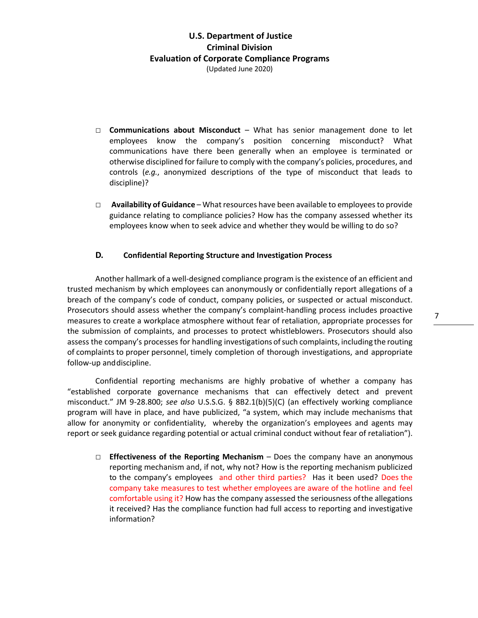- □ **Communications about Misconduct** What has senior management done to let employees know the company's position concerning misconduct? What communications have there been generally when an employee is terminated or otherwise disciplined for failure to comply with the company's policies, procedures, and controls (*e.g.*, anonymized descriptions of the type of misconduct that leads to discipline)?
- □ **Availability of Guidance** What resources have been available to employeesto provide guidance relating to compliance policies? How has the company assessed whether its employees know when to seek advice and whether they would be willing to do so?

#### **D. Confidential Reporting Structure and Investigation Process**

Another hallmark of a well-designed compliance program is the existence of an efficient and trusted mechanism by which employees can anonymously or confidentially report allegations of a breach of the company's code of conduct, company policies, or suspected or actual misconduct. Prosecutors should assess whether the company's complaint-handling process includes proactive measures to create a workplace atmosphere without fear of retaliation, appropriate processes for the submission of complaints, and processes to protect whistleblowers. Prosecutors should also assess the company's processes for handling investigations ofsuch complaints, including the routing of complaints to proper personnel, timely completion of thorough investigations, and appropriate follow-up anddiscipline.

Confidential reporting mechanisms are highly probative of whether a company has "established corporate governance mechanisms that can effectively detect and prevent misconduct." JM 9-28.800; *see also* U.S.S.G. § 8B2.1(b)(5)(C) (an effectively working compliance program will have in place, and have publicized, "a system, which may include mechanisms that allow for anonymity or confidentiality, whereby the organization's employees and agents may report or seek guidance regarding potential or actual criminal conduct without fear of retaliation").

□ **Effectiveness of the Reporting Mechanism** – Does the company have an anonymous reporting mechanism and, if not, why not? How is the reporting mechanism publicized to the company's employees and other third parties? Has it been used? Does the company take measures to test whether employees are aware of the hotline and feel comfortable using it? How has the company assessed the seriousness ofthe allegations it received? Has the compliance function had full access to reporting and investigative information?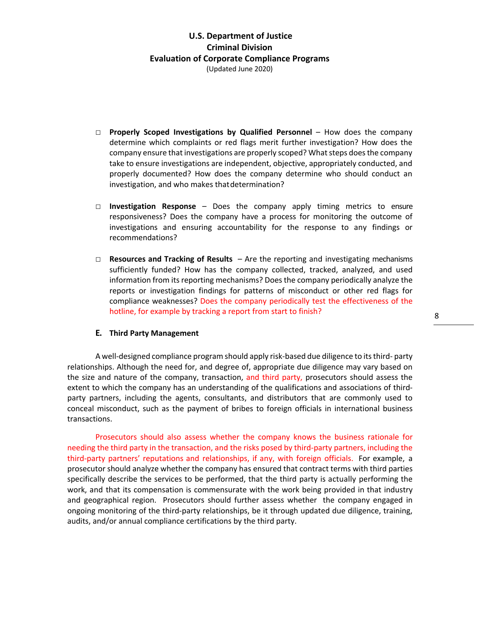- □ **Properly Scoped Investigations by Qualified Personnel** How does the company determine which complaints or red flags merit further investigation? How does the company ensure that investigations are properly scoped? What steps does the company take to ensure investigations are independent, objective, appropriately conducted, and properly documented? How does the company determine who should conduct an investigation, and who makes thatdetermination?
- □ **Investigation Response** Does the company apply timing metrics to ensure responsiveness? Does the company have a process for monitoring the outcome of investigations and ensuring accountability for the response to any findings or recommendations?
- □ **Resources and Tracking of Results**  Are the reporting and investigating mechanisms sufficiently funded? How has the company collected, tracked, analyzed, and used information from its reporting mechanisms? Does the company periodically analyze the reports or investigation findings for patterns of misconduct or other red flags for compliance weaknesses? Does the company periodically test the effectiveness of the hotline, for example by tracking a report from start to finish?

#### **E. Third Party Management**

A well-designed compliance program should apply risk-based due diligence to its third- party relationships. Although the need for, and degree of, appropriate due diligence may vary based on the size and nature of the company, transaction, and third party, prosecutors should assess the extent to which the company has an understanding of the qualifications and associations of thirdparty partners, including the agents, consultants, and distributors that are commonly used to conceal misconduct, such as the payment of bribes to foreign officials in international business transactions.

Prosecutors should also assess whether the company knows the business rationale for needing the third party in the transaction, and the risks posed by third-party partners, including the third-party partners' reputations and relationships, if any, with foreign officials. For example, a prosecutor should analyze whether the company has ensured that contract terms with third parties specifically describe the services to be performed, that the third party is actually performing the work, and that its compensation is commensurate with the work being provided in that industry and geographical region. Prosecutors should further assess whether the company engaged in ongoing monitoring of the third-party relationships, be it through updated due diligence, training, audits, and/or annual compliance certifications by the third party.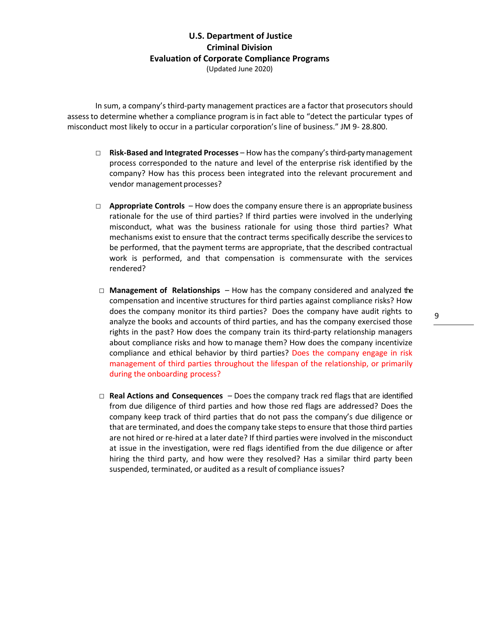In sum, a company's third-party management practices are a factor that prosecutors should assessto determine whether a compliance program isin fact able to "detect the particular types of misconduct most likely to occur in a particular corporation's line of business." JM 9- 28.800.

- □ **Risk-Based and Integrated Processes** How has the company's third-party management process corresponded to the nature and level of the enterprise risk identified by the company? How has this process been integrated into the relevant procurement and vendor management processes?
- □ **Appropriate Controls** How does the company ensure there is an appropriate business rationale for the use of third parties? If third parties were involved in the underlying misconduct, what was the business rationale for using those third parties? What mechanisms exist to ensure that the contract terms specifically describe the servicesto be performed, that the payment terms are appropriate, that the described contractual work is performed, and that compensation is commensurate with the services rendered?
- □ **Management of Relationships** How has the company considered and analyzed the compensation and incentive structures for third parties against compliance risks? How does the company monitor its third parties? Does the company have audit rights to analyze the books and accounts of third parties, and has the company exercised those rights in the past? How does the company train its third-party relationship managers about compliance risks and how to manage them? How does the company incentivize compliance and ethical behavior by third parties? Does the company engage in risk management of third parties throughout the lifespan of the relationship, or primarily during the onboarding process?
- □ **Real Actions and Consequences** Does the company track red flags that are identified from due diligence of third parties and how those red flags are addressed? Does the company keep track of third parties that do not pass the company's due diligence or that are terminated, and does the company take steps to ensure that those third parties are not hired or re-hired at a later date? If third parties were involved in the misconduct at issue in the investigation, were red flags identified from the due diligence or after hiring the third party, and how were they resolved? Has a similar third party been suspended, terminated, or audited as a result of compliance issues?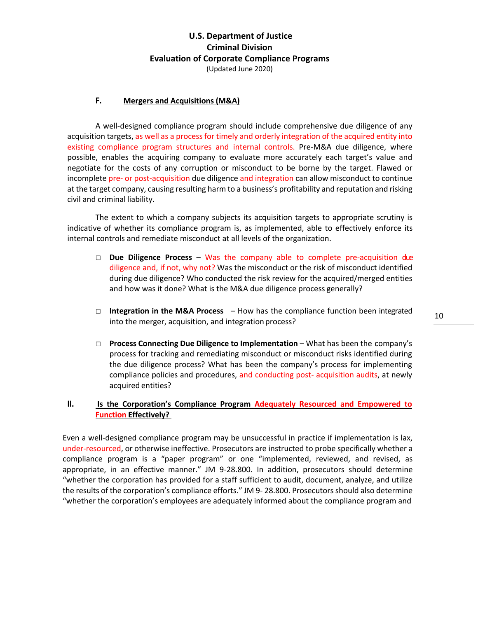#### **F. Mergers and Acquisitions (M&A)**

A well-designed compliance program should include comprehensive due diligence of any acquisition targets, as well as a process for timely and orderly integration of the acquired entity into existing compliance program structures and internal controls. Pre-M&A due diligence, where possible, enables the acquiring company to evaluate more accurately each target's value and negotiate for the costs of any corruption or misconduct to be borne by the target. Flawed or incomplete pre- or post-acquisition due diligence and integration can allow misconduct to continue at the target company, causing resulting harm to a business's profitability and reputation and risking civil and criminal liability.

The extent to which a company subjects its acquisition targets to appropriate scrutiny is indicative of whether its compliance program is, as implemented, able to effectively enforce its internal controls and remediate misconduct at all levels of the organization.

- □ **Due Diligence Process** Was the company able to complete pre-acquisition due diligence and, if not, why not? Was the misconduct or the risk of misconduct identified during due diligence? Who conducted the risk review for the acquired/merged entities and how was it done? What is the M&A due diligence process generally?
- □ **Integration in the M&A Process**  How has the compliance function been integrated into the merger, acquisition, and integration process?
- □ **Process Connecting Due Diligence to Implementation** What has been the company's process for tracking and remediating misconduct or misconduct risks identified during the due diligence process? What has been the company's process for implementing compliance policies and procedures, and conducting post- acquisition audits, at newly acquired entities?

#### **II. Is the Corporation's Compliance Program Adequately Resourced and Empowered to Function Effectively?**

Even a well-designed compliance program may be unsuccessful in practice if implementation is lax, under-resourced, or otherwise ineffective. Prosecutors are instructed to probe specifically whether a compliance program is a "paper program" or one "implemented, reviewed, and revised, as appropriate, in an effective manner." JM 9-28.800. In addition, prosecutors should determine "whether the corporation has provided for a staff sufficient to audit, document, analyze, and utilize the results of the corporation's compliance efforts." JM 9- 28.800. Prosecutors should also determine "whether the corporation's employees are adequately informed about the compliance program and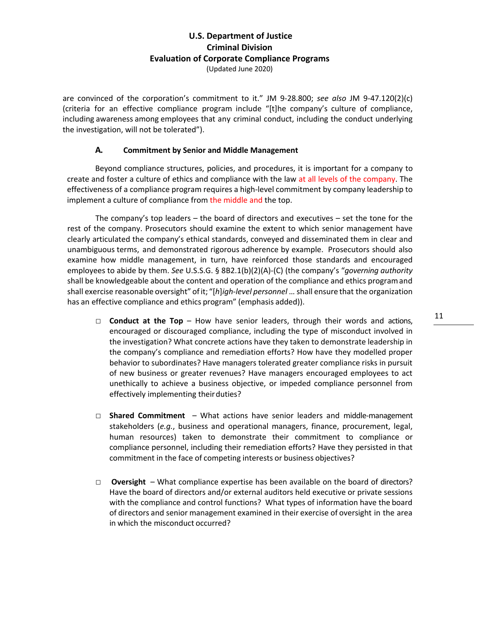are convinced of the corporation's commitment to it." JM 9-28.800; *see also* JM 9-47.120(2)(c) (criteria for an effective compliance program include "[t]he company's culture of compliance, including awareness among employees that any criminal conduct, including the conduct underlying the investigation, will not be tolerated").

#### **A. Commitment by Senior and Middle Management**

Beyond compliance structures, policies, and procedures, it is important for a company to create and foster a culture of ethics and compliance with the law at all levels of the company. The effectiveness of a compliance program requires a high-level commitment by company leadership to implement a culture of compliance from the middle and the top.

The company's top leaders – the board of directors and executives – set the tone for the rest of the company. Prosecutors should examine the extent to which senior management have clearly articulated the company's ethical standards, conveyed and disseminated them in clear and unambiguous terms, and demonstrated rigorous adherence by example. Prosecutors should also examine how middle management, in turn, have reinforced those standards and encouraged employees to abide by them. *See* U.S.S.G. § 8B2.1(b)(2)(A)-(C) (the company's "*governing authority*  shall be knowledgeable about the content and operation of the compliance and ethics programand shall exercise reasonable oversight" ofit; "[*h*]*igh-level personnel* … shall ensure that the organization has an effective compliance and ethics program" (emphasis added)).

- □ **Conduct at the Top** How have senior leaders, through their words and actions, encouraged or discouraged compliance, including the type of misconduct involved in the investigation? What concrete actions have they taken to demonstrate leadership in the company's compliance and remediation efforts? How have they modelled proper behavior to subordinates? Have managers tolerated greater compliance risks in pursuit of new business or greater revenues? Have managers encouraged employees to act unethically to achieve a business objective, or impeded compliance personnel from effectively implementing their duties?
- □ **Shared Commitment** What actions have senior leaders and middle-management stakeholders (*e.g.*, business and operational managers, finance, procurement, legal, human resources) taken to demonstrate their commitment to compliance or compliance personnel, including their remediation efforts? Have they persisted in that commitment in the face of competing interests or business objectives?
- □ **Oversight**  What compliance expertise has been available on the board of directors? Have the board of directors and/or external auditors held executive or private sessions with the compliance and control functions? What types of information have the board of directors and senior management examined in their exercise of oversight in the area in which the misconduct occurred?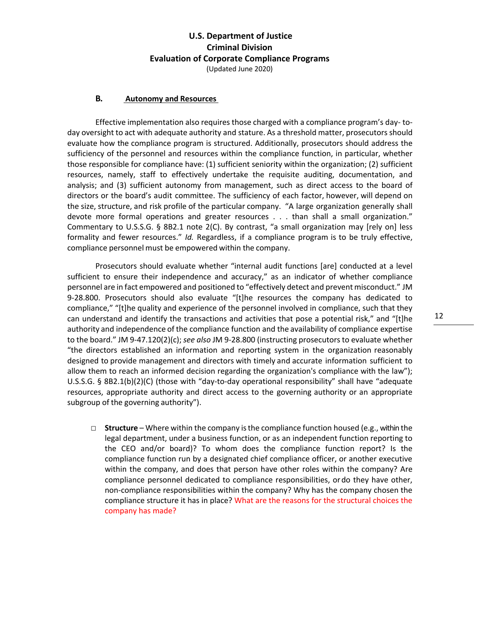#### **B. Autonomy and Resources**

Effective implementation also requires those charged with a compliance program's day- today oversight to act with adequate authority and stature. As a threshold matter, prosecutors should evaluate how the compliance program is structured. Additionally, prosecutors should address the sufficiency of the personnel and resources within the compliance function, in particular, whether those responsible for compliance have: (1) sufficient seniority within the organization; (2) sufficient resources, namely, staff to effectively undertake the requisite auditing, documentation, and analysis; and (3) sufficient autonomy from management, such as direct access to the board of directors or the board's audit committee. The sufficiency of each factor, however, will depend on the size, structure, and risk profile of the particular company. "A large organization generally shall devote more formal operations and greater resources . . . than shall a small organization." Commentary to U.S.S.G. § 8B2.1 note 2(C). By contrast, "a small organization may [rely on] less formality and fewer resources." *Id.* Regardless, if a compliance program is to be truly effective, compliance personnel must be empowered within the company.

Prosecutors should evaluate whether "internal audit functions [are] conducted at a level sufficient to ensure their independence and accuracy," as an indicator of whether compliance personnel are in fact empowered and positioned to "effectively detect and prevent misconduct." JM 9-28.800. Prosecutors should also evaluate "[t]he resources the company has dedicated to compliance," "[t]he quality and experience of the personnel involved in compliance, such that they can understand and identify the transactions and activities that pose a potential risk," and "[t]he authority and independence of the compliance function and the availability of compliance expertise to the board." JM 9-47.120(2)(c); *see also* JM 9-28.800 (instructing prosecutors to evaluate whether "the directors established an information and reporting system in the organization reasonably designed to provide management and directors with timely and accurate information sufficient to allow them to reach an informed decision regarding the organization's compliance with the law"); U.S.S.G. § 8B2.1(b)(2)(C) (those with "day-to-day operational responsibility" shall have "adequate resources, appropriate authority and direct access to the governing authority or an appropriate subgroup of the governing authority").

□ **Structure** – Where within the company isthe compliance function housed (e.g., within the legal department, under a business function, or as an independent function reporting to the CEO and/or board)? To whom does the compliance function report? Is the compliance function run by a designated chief compliance officer, or another executive within the company, and does that person have other roles within the company? Are compliance personnel dedicated to compliance responsibilities, ordo they have other, non-compliance responsibilities within the company? Why has the company chosen the compliance structure it has in place? What are the reasons for the structural choices the company has made?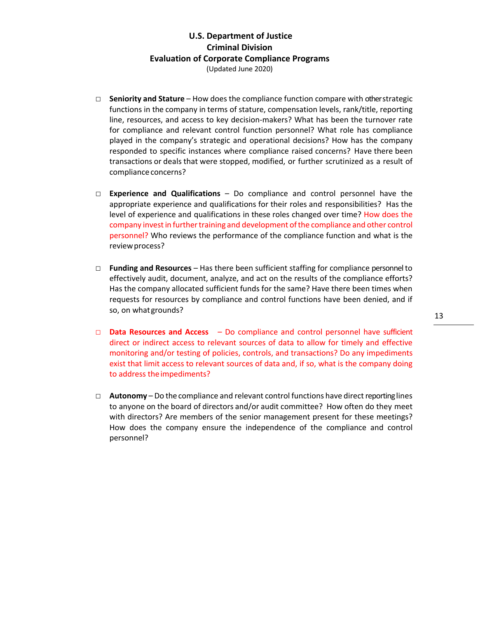- □ **Seniority and Stature** How does the compliance function compare with other strategic functions in the company in terms of stature, compensation levels, rank/title, reporting line, resources, and access to key decision-makers? What has been the turnover rate for compliance and relevant control function personnel? What role has compliance played in the company's strategic and operational decisions? How has the company responded to specific instances where compliance raised concerns? Have there been transactions or deals that were stopped, modified, or further scrutinized as a result of compliance concerns?
- □ **Experience and Qualifications** Do compliance and control personnel have the appropriate experience and qualifications for their roles and responsibilities? Has the level of experience and qualifications in these roles changed over time? How does the company invest in further training and development of the compliance and other control personnel? Who reviews the performance of the compliance function and what is the review process?
- □ **Funding and Resources**  Has there been sufficient staffing for compliance personnel to effectively audit, document, analyze, and act on the results of the compliance efforts? Has the company allocated sufficient funds for the same? Have there been times when requests for resources by compliance and control functions have been denied, and if so, on whatgrounds?
- □ **Data Resources and Access**  Do compliance and control personnel have sufficient direct or indirect access to relevant sources of data to allow for timely and effective monitoring and/or testing of policies, controls, and transactions? Do any impediments exist that limit access to relevant sources of data and, if so, what is the company doing to address theimpediments?
- □ **Autonomy** Do the compliance and relevant control functions have direct reporting lines to anyone on the board of directors and/or audit committee? How often do they meet with directors? Are members of the senior management present for these meetings? How does the company ensure the independence of the compliance and control personnel?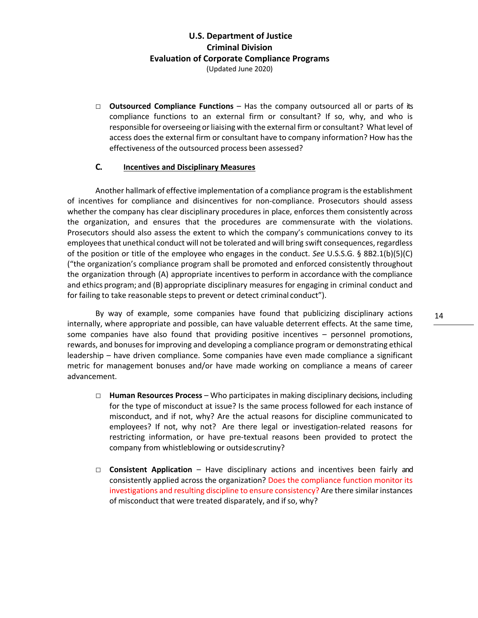□ **Outsourced Compliance Functions** – Has the company outsourced all or parts of its compliance functions to an external firm or consultant? If so, why, and who is responsible for overseeing orliaising with the external firm or consultant? Whatlevel of access does the external firm or consultant have to company information? How has the effectiveness of the outsourced process been assessed?

#### **C. Incentives and Disciplinary Measures**

Another hallmark of effective implementation of a compliance program is the establishment of incentives for compliance and disincentives for non-compliance. Prosecutors should assess whether the company has clear disciplinary procedures in place, enforces them consistently across the organization, and ensures that the procedures are commensurate with the violations. Prosecutors should also assess the extent to which the company's communications convey to its employees that unethical conduct will not be tolerated and will bring swift consequences, regardless of the position or title of the employee who engages in the conduct. *See* U.S.S.G. § 8B2.1(b)(5)(C) ("the organization's compliance program shall be promoted and enforced consistently throughout the organization through (A) appropriate incentives to perform in accordance with the compliance and ethics program; and (B) appropriate disciplinary measures for engaging in criminal conduct and for failing to take reasonable steps to prevent or detect criminal conduct").

By way of example, some companies have found that publicizing disciplinary actions internally, where appropriate and possible, can have valuable deterrent effects. At the same time, some companies have also found that providing positive incentives – personnel promotions, rewards, and bonuses for improving and developing a compliance program or demonstrating ethical leadership – have driven compliance. Some companies have even made compliance a significant metric for management bonuses and/or have made working on compliance a means of career advancement.

- □ **Human Resources Process**  Who participates in making disciplinary decisions, including for the type of misconduct at issue? Is the same process followed for each instance of misconduct, and if not, why? Are the actual reasons for discipline communicated to employees? If not, why not? Are there legal or investigation-related reasons for restricting information, or have pre-textual reasons been provided to protect the company from whistleblowing or outsidescrutiny?
- □ **Consistent Application** Have disciplinary actions and incentives been fairly and consistently applied across the organization? Does the compliance function monitor its investigations and resulting discipline to ensure consistency? Are there similar instances of misconduct that were treated disparately, and if so, why?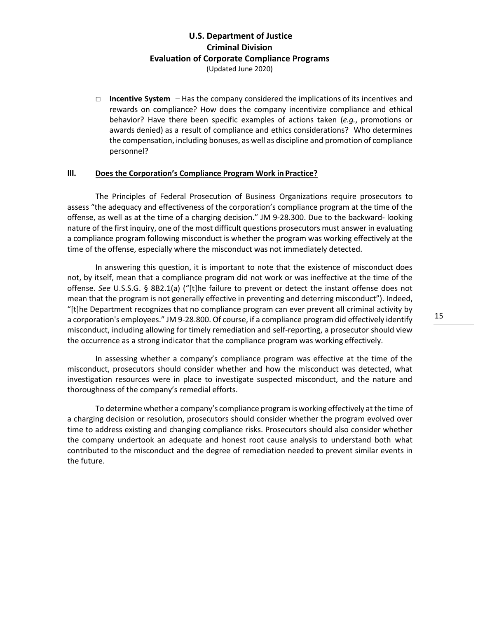□ **Incentive System** – Has the company considered the implications of its incentives and rewards on compliance? How does the company incentivize compliance and ethical behavior? Have there been specific examples of actions taken (*e.g.*, promotions or awards denied) as a result of compliance and ethics considerations? Who determines the compensation, including bonuses, as well as discipline and promotion of compliance personnel?

#### **III. Does the Corporation's Compliance Program Work in Practice?**

The Principles of Federal Prosecution of Business Organizations require prosecutors to assess "the adequacy and effectiveness of the corporation's compliance program at the time of the offense, as well as at the time of a charging decision." JM 9-28.300. Due to the backward- looking nature of the first inquiry, one of the most difficult questions prosecutors must answer in evaluating a compliance program following misconduct is whether the program was working effectively at the time of the offense, especially where the misconduct was not immediately detected.

In answering this question, it is important to note that the existence of misconduct does not, by itself, mean that a compliance program did not work or was ineffective at the time of the offense. *See* U.S.S.G. § 8B2.1(a) ("[t]he failure to prevent or detect the instant offense does not mean that the program is not generally effective in preventing and deterring misconduct"). Indeed, "[t]he Department recognizes that no compliance program can ever prevent all criminal activity by a corporation's employees." JM 9-28.800. Of course, if a compliance program did effectively identify misconduct, including allowing for timely remediation and self-reporting, a prosecutor should view the occurrence as a strong indicator that the compliance program was working effectively.

In assessing whether a company's compliance program was effective at the time of the misconduct, prosecutors should consider whether and how the misconduct was detected, what investigation resources were in place to investigate suspected misconduct, and the nature and thoroughness of the company's remedial efforts.

To determine whether a company's compliance program is working effectively at the time of a charging decision or resolution, prosecutors should consider whether the program evolved over time to address existing and changing compliance risks. Prosecutors should also consider whether the company undertook an adequate and honest root cause analysis to understand both what contributed to the misconduct and the degree of remediation needed to prevent similar events in the future.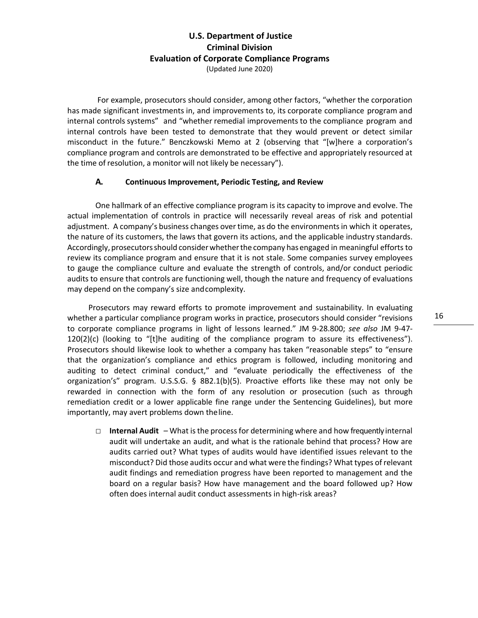For example, prosecutors should consider, among other factors, "whether the corporation has made significant investments in, and improvements to, its corporate compliance program and internal controls systems" and "whether remedial improvements to the compliance program and internal controls have been tested to demonstrate that they would prevent or detect similar misconduct in the future." Benczkowski Memo at 2 (observing that "[w]here a corporation's compliance program and controls are demonstrated to be effective and appropriately resourced at the time of resolution, a monitor will not likely be necessary").

#### **A. Continuous Improvement, Periodic Testing, and Review**

One hallmark of an effective compliance program is its capacity to improve and evolve. The actual implementation of controls in practice will necessarily reveal areas of risk and potential adjustment. A company's business changes over time, as do the environmentsin which it operates, the nature of its customers, the laws that govern its actions, and the applicable industry standards. Accordingly, prosecutorsshould considerwhetherthe company hasengaged in meaningful efforts to review its compliance program and ensure that it is not stale. Some companies survey employees to gauge the compliance culture and evaluate the strength of controls, and/or conduct periodic audits to ensure that controls are functioning well, though the nature and frequency of evaluations may depend on the company's size andcomplexity.

Prosecutors may reward efforts to promote improvement and sustainability. In evaluating whether a particular compliance program works in practice, prosecutors should consider "revisions to corporate compliance programs in light of lessons learned." JM 9-28.800; *see also* JM 9-47- 120(2)(c) (looking to "[t]he auditing of the compliance program to assure its effectiveness"). Prosecutors should likewise look to whether a company has taken "reasonable steps" to "ensure that the organization's compliance and ethics program is followed, including monitoring and auditing to detect criminal conduct," and "evaluate periodically the effectiveness of the organization's" program. U.S.S.G. § 8B2.1(b)(5). Proactive efforts like these may not only be rewarded in connection with the form of any resolution or prosecution (such as through remediation credit or a lower applicable fine range under the Sentencing Guidelines), but more importantly, may avert problems down theline.

□ **Internal Audit** – What is the process for determining where and how frequently internal audit will undertake an audit, and what is the rationale behind that process? How are audits carried out? What types of audits would have identified issues relevant to the misconduct? Did those audits occur and what were the findings? What types of relevant audit findings and remediation progress have been reported to management and the board on a regular basis? How have management and the board followed up? How often does internal audit conduct assessments in high-risk areas?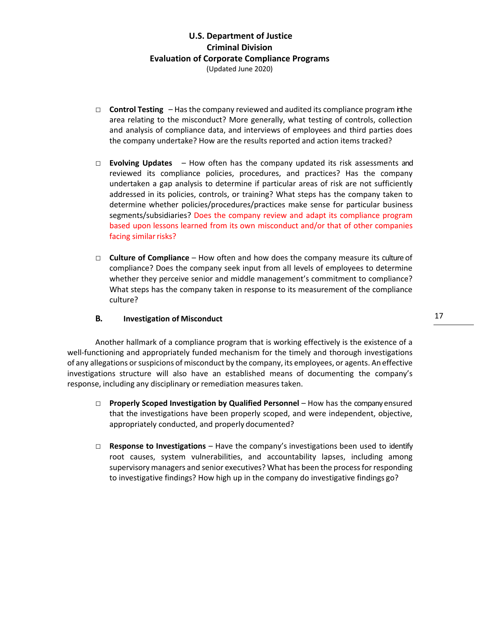- $\Box$  **Control Testing**  $-$  Has the company reviewed and audited its compliance program in the area relating to the misconduct? More generally, what testing of controls, collection and analysis of compliance data, and interviews of employees and third parties does the company undertake? How are the results reported and action items tracked?
- □ **Evolving Updates**  How often has the company updated its risk assessments and reviewed its compliance policies, procedures, and practices? Has the company undertaken a gap analysis to determine if particular areas of risk are not sufficiently addressed in its policies, controls, or training? What steps has the company taken to determine whether policies/procedures/practices make sense for particular business segments/subsidiaries? Does the company review and adapt its compliance program based upon lessons learned from its own misconduct and/or that of other companies facing similar risks?
- □ **Culture of Compliance**  How often and how does the company measure its culture of compliance? Does the company seek input from all levels of employees to determine whether they perceive senior and middle management's commitment to compliance? What steps has the company taken in response to its measurement of the compliance culture?

#### **B. Investigation of Misconduct**

Another hallmark of a compliance program that is working effectively is the existence of a well-functioning and appropriately funded mechanism for the timely and thorough investigations of any allegations or suspicions of misconduct by the company, its employees, or agents. An effective investigations structure will also have an established means of documenting the company's response, including any disciplinary or remediation measures taken.

- □ **Properly Scoped Investigation by Qualified Personnel** How has the company ensured that the investigations have been properly scoped, and were independent, objective, appropriately conducted, and properly documented?
- □ **Response to Investigations** Have the company's investigations been used to identify root causes, system vulnerabilities, and accountability lapses, including among supervisory managers and senior executives? What has been the process for responding to investigative findings? How high up in the company do investigative findings go?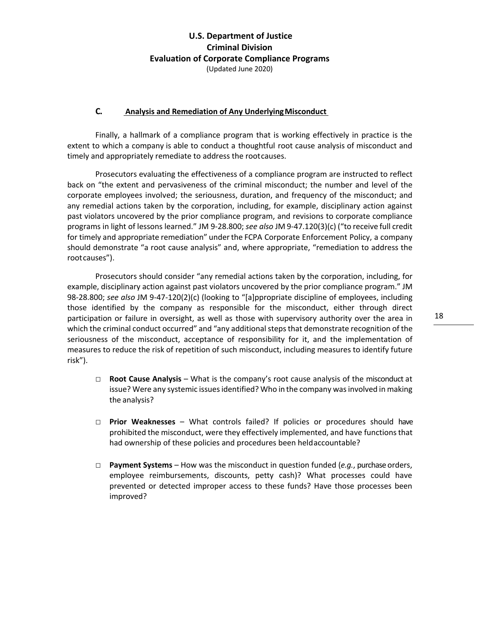#### **C. Analysis and Remediation of Any UnderlyingMisconduct**

Finally, a hallmark of a compliance program that is working effectively in practice is the extent to which a company is able to conduct a thoughtful root cause analysis of misconduct and timely and appropriately remediate to address the rootcauses.

Prosecutors evaluating the effectiveness of a compliance program are instructed to reflect back on "the extent and pervasiveness of the criminal misconduct; the number and level of the corporate employees involved; the seriousness, duration, and frequency of the misconduct; and any remedial actions taken by the corporation, including, for example, disciplinary action against past violators uncovered by the prior compliance program, and revisions to corporate compliance programs in light of lessons learned." JM 9-28.800; *see also* JM 9-47.120(3)(c) ("to receive full credit for timely and appropriate remediation" underthe FCPA Corporate Enforcement Policy, a company should demonstrate "a root cause analysis" and, where appropriate, "remediation to address the rootcauses").

Prosecutors should consider "any remedial actions taken by the corporation, including, for example, disciplinary action against past violators uncovered by the prior compliance program." JM 98-28.800; *see also* JM 9-47-120(2)(c) (looking to "[a]ppropriate discipline of employees, including those identified by the company as responsible for the misconduct, either through direct participation or failure in oversight, as well as those with supervisory authority over the area in which the criminal conduct occurred" and "any additional steps that demonstrate recognition of the seriousness of the misconduct, acceptance of responsibility for it, and the implementation of measures to reduce the risk of repetition of such misconduct, including measures to identify future risk").

- □ **Root Cause Analysis**  What is the company's root cause analysis of the misconduct at issue? Were any systemic issues identified? Who in the company was involved in making the analysis?
- □ **Prior Weaknesses**  What controls failed? If policies or procedures should have prohibited the misconduct, were they effectively implemented, and have functions that had ownership of these policies and procedures been heldaccountable?
- □ **Payment Systems**  How was the misconduct in question funded (*e.g.*, purchase orders, employee reimbursements, discounts, petty cash)? What processes could have prevented or detected improper access to these funds? Have those processes been improved?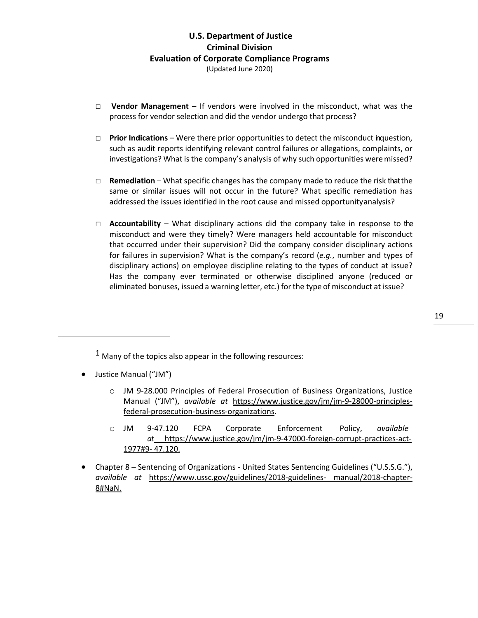- □ **Vendor Management** If vendors were involved in the misconduct, what was the process for vendor selection and did the vendor undergo that process?
- $\Box$  **Prior Indications** Were there prior opportunities to detect the misconduct inquestion, such as audit reports identifying relevant control failures or allegations, complaints, or investigations? What is the company's analysis of why such opportunities weremissed?
- □ **Remediation**  What specific changes has the company made to reduce the risk that the same or similar issues will not occur in the future? What specific remediation has addressed the issues identified in the root cause and missed opportunityanalysis?
- $\Box$  **Accountability** What disciplinary actions did the company take in response to the misconduct and were they timely? Were managers held accountable for misconduct that occurred under their supervision? Did the company consider disciplinary actions for failures in supervision? What is the company's record (*e.g.*, number and types of disciplinary actions) on employee discipline relating to the types of conduct at issue? Has the company ever terminated or otherwise disciplined anyone (reduced or eliminated bonuses, issued a warning letter, etc.) for the type of misconduct at issue?

 $1$  Many of the topics also appear in the following resources:

- Justice Manual ("JM")
	- o JM 9-28.000 Principles of Federal Prosecution of Business Organizations, Justice Manual ("JM"), *available at* https://www.justice.gov/jm/jm-9-28000-principlesfederal-prosecution-business-organizations.
	- o JM 9-47.120 FCPA Corporate Enforcement Policy, *available at* https://www.justice.gov/jm/jm-9-47000-foreign-corrupt-practices-act-1977#9- 47.120.
- Chapter 8 Sentencing of Organizations United States Sentencing Guidelines ("U.S.S.G."), *available at* https://www.ussc.gov/guidelines/2018-guidelines- manual/2018-chapter-8#NaN.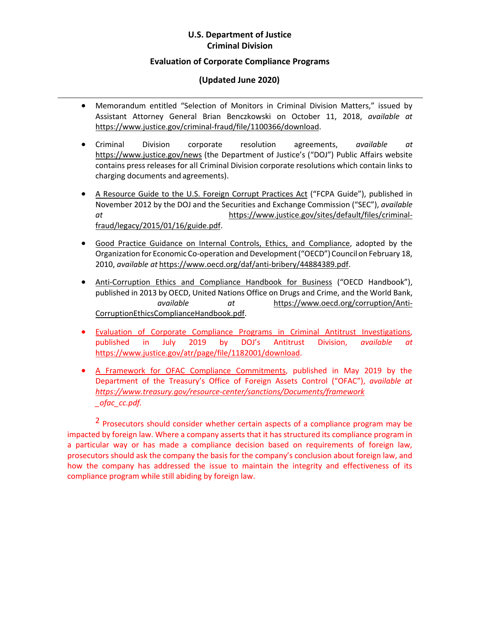# **U.S. Department of Justice Criminal Division**

#### **Evaluation of Corporate Compliance Programs**

### **(Updated June 2020)**

- Memorandum entitled "Selection of Monitors in Criminal Division Matters," issued by Assistant Attorney General Brian Benczkowski on October 11, 2018, *available at* https://www.justice.gov/criminal-fraud/file/1100366/download.
- Criminal Division corporate resolution agreements, *available at* https://www.justice.gov/news (the Department of Justice's ("DOJ") Public Affairs website contains press releases for all Criminal Division corporate resolutions which contain links to charging documents and agreements).
- A Resource Guide to the U.S. Foreign Corrupt Practices Act ("FCPA Guide"), published in November 2012 by the DOJ and the Securities and Exchange Commission ("SEC"), *available at* https://www.justice.gov/sites/default/files/criminalfraud/legacy/2015/01/16/guide.pdf.
- Good Practice Guidance on Internal Controls, Ethics, and Compliance, adopted by the Organization for Economic Co-operation and Development("OECD") Councilon February 18, 2010, *available at* https://www.oecd.org/daf/anti-bribery/44884389.pdf.
- Anti-Corruption Ethics and Compliance Handbook for Business ("OECD Handbook"), published in 2013 by OECD, United Nations Office on Drugs and Crime, and the World Bank, *available at* https://www.oecd.org/corruption/Anti-CorruptionEthicsComplianceHandbook.pdf.
- Evaluation of Corporate Compliance Programs in Criminal Antitrust Investigations, published in July 2019 by DOJ's Antitrust Division, *available at* https://www.justice.gov/atr/page/file/1182001/download.
- A Framework for OFAC Compliance Commitments, published in May 2019 by the Department of the Treasury's Office of Foreign Assets Control ("OFAC"), *available at https://www.treasury.gov/resource-center/sanctions/Documents/framework \_ofac\_cc.pdf.*

<sup>2</sup> Prosecutors should consider whether certain aspects of a compliance program may be impacted by foreign law. Where a company asserts that it has structured its compliance program in a particular way or has made a compliance decision based on requirements of foreign law, prosecutors should ask the company the basis for the company's conclusion about foreign law, and how the company has addressed the issue to maintain the integrity and effectiveness of its compliance program while still abiding by foreign law.